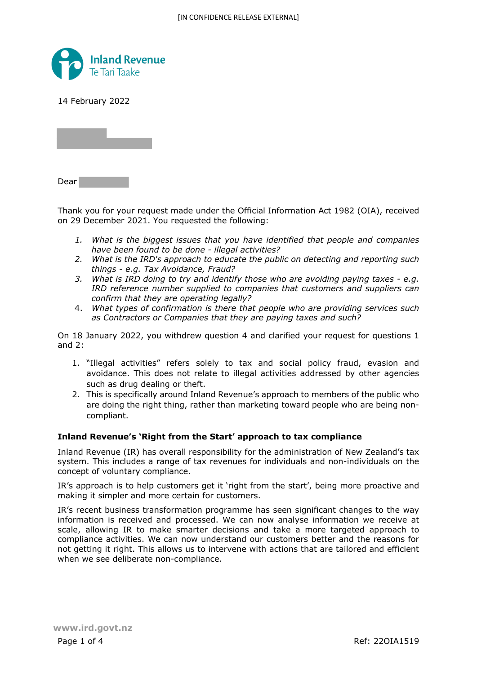

14 February 2022

Dear

Thank you for your request made under the Official Information Act 1982 (OIA), received on 29 December 2021. You requested the following:

- *1. What is the biggest issues that you have identified that people and companies have been found to be done - illegal activities?*
- *2. What is the IRD's approach to educate the public on detecting and reporting such things - e.g. Tax Avoidance, Fraud?*
- *3. What is IRD doing to try and identify those who are avoiding paying taxes e.g. IRD reference number supplied to companies that customers and suppliers can confirm that they are operating legally?*
- 4. *What types of confirmation is there that people who are providing services such as Contractors or Companies that they are paying taxes and such?*

On 18 January 2022, you withdrew question 4 and clarified your request for questions 1 and 2:

- 1. "Illegal activities" refers solely to tax and social policy fraud, evasion and avoidance. This does not relate to illegal activities addressed by other agencies such as drug dealing or theft.
- 2. This is specifically around Inland Revenue's approach to members of the public who are doing the right thing, rather than marketing toward people who are being noncompliant.

## **Inland Revenue's 'Right from the Start' approach to tax compliance**

Inland Revenue (IR) has overall responsibility for the administration of New Zealand's tax system. This includes a range of tax revenues for individuals and non-individuals on the concept of voluntary compliance.

IR's approach is to help customers get it 'right from the start', being more proactive and making it simpler and more certain for customers.

IR's recent business transformation programme has seen significant changes to the way information is received and processed. We can now analyse information we receive at scale, allowing IR to make smarter decisions and take a more targeted approach to compliance activities. We can now understand our customers better and the reasons for not getting it right. This allows us to intervene with actions that are tailored and efficient when we see deliberate non-compliance.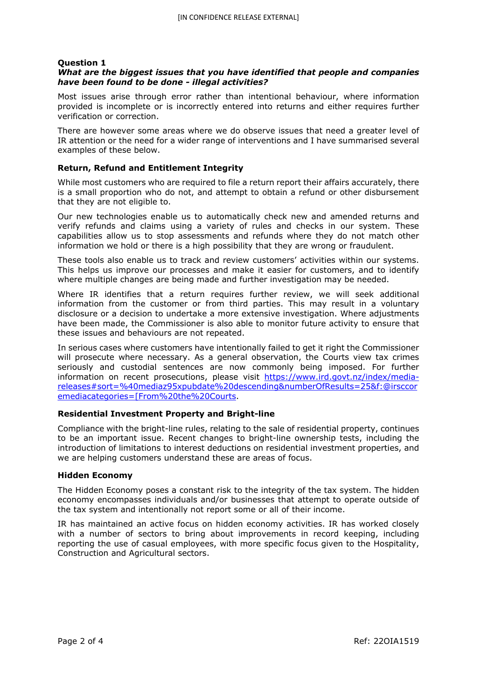# **Question 1**

# *What are the biggest issues that you have identified that people and companies have been found to be done - illegal activities?*

Most issues arise through error rather than intentional behaviour, where information provided is incomplete or is incorrectly entered into returns and either requires further verification or correction.

There are however some areas where we do observe issues that need a greater level of IR attention or the need for a wider range of interventions and I have summarised several examples of these below.

# **Return, Refund and Entitlement Integrity**

While most customers who are required to file a return report their affairs accurately, there is a small proportion who do not, and attempt to obtain a refund or other disbursement that they are not eligible to.

Our new technologies enable us to automatically check new and amended returns and verify refunds and claims using a variety of rules and checks in our system. These capabilities allow us to stop assessments and refunds where they do not match other information we hold or there is a high possibility that they are wrong or fraudulent.

These tools also enable us to track and review customers' activities within our systems. This helps us improve our processes and make it easier for customers, and to identify where multiple changes are being made and further investigation may be needed.

Where IR identifies that a return requires further review, we will seek additional information from the customer or from third parties. This may result in a voluntary disclosure or a decision to undertake a more extensive investigation. Where adjustments have been made, the Commissioner is also able to monitor future activity to ensure that these issues and behaviours are not repeated.

In serious cases where customers have intentionally failed to get it right the Commissioner will prosecute where necessary. As a general observation, the Courts view tax crimes seriously and custodial sentences are now commonly being imposed. For further information on recent prosecutions, please visit https://www.ird.govt.nz/index/mediareleases#sort=%40mediaz95xpubdate%20descending&numberOfResults=25&f:@irsccor emediacategories=[From%20the%20Courts.

## **Residential Investment Property and Bright-line**

Compliance with the bright-line rules, relating to the sale of residential property, continues to be an important issue. Recent changes to bright-line ownership tests, including the introduction of limitations to interest deductions on residential investment properties, and we are helping customers understand these are areas of focus.

## **Hidden Economy**

The Hidden Economy poses a constant risk to the integrity of the tax system. The hidden economy encompasses individuals and/or businesses that attempt to operate outside of the tax system and intentionally not report some or all of their income.

IR has maintained an active focus on hidden economy activities. IR has worked closely with a number of sectors to bring about improvements in record keeping, including reporting the use of casual employees, with more specific focus given to the Hospitality, Construction and Agricultural sectors.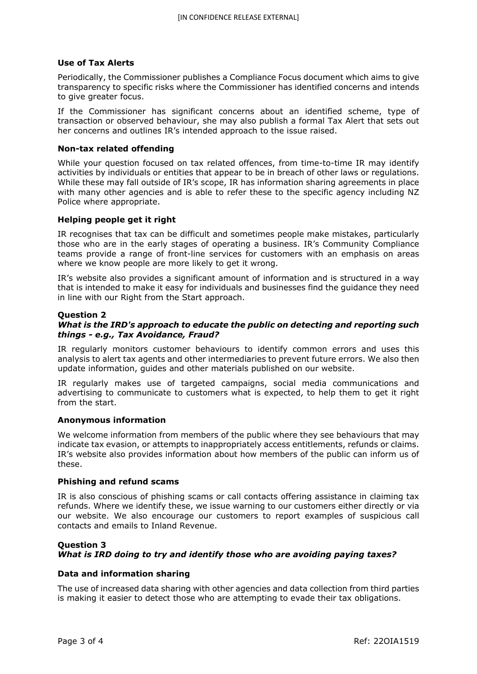# **Use of Tax Alerts**

Periodically, the Commissioner publishes a Compliance Focus document which aims to give transparency to specific risks where the Commissioner has identified concerns and intends to give greater focus.

If the Commissioner has significant concerns about an identified scheme, type of transaction or observed behaviour, she may also publish a formal Tax Alert that sets out her concerns and outlines IR's intended approach to the issue raised.

## **Non-tax related offending**

While your question focused on tax related offences, from time-to-time IR may identify activities by individuals or entities that appear to be in breach of other laws or regulations. While these may fall outside of IR's scope, IR has information sharing agreements in place with many other agencies and is able to refer these to the specific agency including NZ Police where appropriate.

# **Helping people get it right**

IR recognises that tax can be difficult and sometimes people make mistakes, particularly those who are in the early stages of operating a business. IR's Community Compliance teams provide a range of front-line services for customers with an emphasis on areas where we know people are more likely to get it wrong.

IR's website also provides a significant amount of information and is structured in a way that is intended to make it easy for individuals and businesses find the guidance they need in line with our Right from the Start approach.

## **Question 2**

# *What is the IRD's approach to educate the public on detecting and reporting such things - e.g., Tax Avoidance, Fraud?*

IR regularly monitors customer behaviours to identify common errors and uses this analysis to alert tax agents and other intermediaries to prevent future errors. We also then update information, guides and other materials published on our website.

IR regularly makes use of targeted campaigns, social media communications and advertising to communicate to customers what is expected, to help them to get it right from the start.

## **Anonymous information**

We welcome information from members of the public where they see behaviours that may indicate tax evasion, or attempts to inappropriately access entitlements, refunds or claims. IR's website also provides information about how members of the public can inform us of these.

## **Phishing and refund scams**

IR is also conscious of phishing scams or call contacts offering assistance in claiming tax refunds. Where we identify these, we issue warning to our customers either directly or via our website. We also encourage our customers to report examples of suspicious call contacts and emails to Inland Revenue.

# **Question 3** *What is IRD doing to try and identify those who are avoiding paying taxes?*

## **Data and information sharing**

The use of increased data sharing with other agencies and data collection from third parties is making it easier to detect those who are attempting to evade their tax obligations.